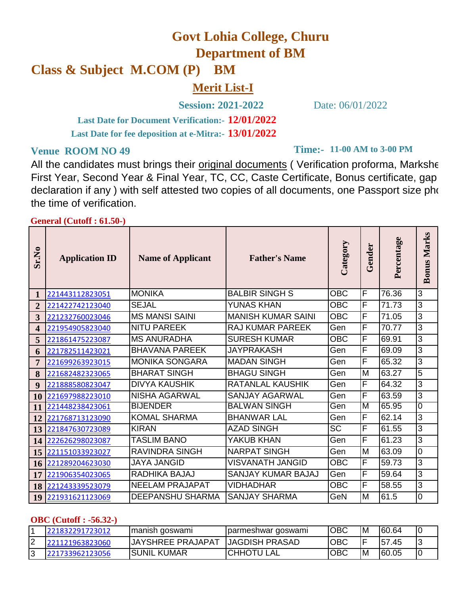# **Govt Lohia College, Churu**

**Department of BM**

# **Class & Subject M.COM (P) BM**

**Merit List-I**

**Session: 2021-2022** Date: 06/01/2022

**12/01/2022 Last Date for Document Verification:- 13/01/2022 Last Date for fee deposition at e-Mitra:-**

All the candidates must brings their original documents ( Verification proforma, Markshe First Year, Second Year & Final Year, TC, CC, Caste Certificate, Bonus certificate, gap declaration if any ) with self attested two copies of all documents, one Passport size photo the time of verification.

#### **General (Cutoff : 61.50-)**

| Sr.No                   | <b>Application ID</b> | <b>Name of Applicant</b> | <b>Father's Name</b>      | Category   | Gender | Percentage | Marks<br>Bonus |
|-------------------------|-----------------------|--------------------------|---------------------------|------------|--------|------------|----------------|
| 1                       | 221443112823051       | <b>MONIKA</b>            | <b>BALBIR SINGH S</b>     | <b>OBC</b> | F      | 76.36      | 3              |
| $\overline{2}$          | 221422742123040       | <b>SEJAL</b>             | <b>YUNAS KHAN</b>         | <b>OBC</b> | F      | 71.73      | 3              |
| 3                       | 221232760023046       | <b>MS MANSI SAINI</b>    | <b>MANISH KUMAR SAINI</b> | <b>OBC</b> | F      | 71.05      | 3              |
| $\overline{\mathbf{4}}$ | 221954905823040       | <b>NITU PAREEK</b>       | RAJ KUMAR PAREEK          | Gen        | F      | 70.77      | 3              |
| 5                       | 221861475223087       | <b>MS ANURADHA</b>       | <b>SURESH KUMAR</b>       | <b>OBC</b> | F      | 69.91      | 3              |
| 6                       | 221782511423021       | <b>BHAVANA PAREEK</b>    | <b>JAYPRAKASH</b>         | Gen        | F      | 69.09      | 3              |
| 7                       | 221699263923015       | <b>MONIKA SONGARA</b>    | <b>MADAN SINGH</b>        | Gen        | F      | 65.32      | 3              |
| 8                       | 221682482323065       | <b>BHARAT SINGH</b>      | <b>BHAGU SINGH</b>        | Gen        | M      | 63.27      | 5              |
| 9                       | 221888580823047       | DIVYA KAUSHIK            | <b>RATANLAL KAUSHIK</b>   | Gen        | F      | 64.32      | 3              |
| <b>10</b>               | 221697988223010       | <b>NISHA AGARWAL</b>     | <b>SANJAY AGARWAL</b>     | Gen        | F      | 63.59      | 3              |
| <b>11</b>               | 221448238423061       | <b>BIJENDER</b>          | <b>BALWAN SINGH</b>       | Gen        | M      | 65.95      | 0              |
| 12                      | 221768713123090       | <b>KOMAL SHARMA</b>      | <b>BHANWAR LAL</b>        | Gen        | F      | 62.14      | 3              |
| 13                      | 221847630723089       | <b>KIRAN</b>             | <b>AZAD SINGH</b>         | <b>SC</b>  | F      | 61.55      | 3              |
| 14                      | 222626298023087       | <b>TASLIM BANO</b>       | YAKUB KHAN                | Gen        | F      | 61.23      | 3              |
| 15                      | 221151033923027       | <b>RAVINDRA SINGH</b>    | <b>NARPAT SINGH</b>       | Gen        | M      | 63.09      | 0              |
| 16                      | 221289204623030       | <b>JAYA JANGID</b>       | <b>VISVANATH JANGID</b>   | <b>OBC</b> | F      | 59.73      | 3              |
| 17                      | 221906354023065       | RADHIKA BAJAJ            | SANJAY KUMAR BAJAJ        | Gen        | F      | 59.64      | 3              |
| <b>18</b>               | 221243339523079       | <b>NEELAM PRAJAPAT</b>   | <b>VIDHADHAR</b>          | <b>OBC</b> | F      | 58.55      | 3              |
| 19                      | 221931621123069       | DEEPANSHU SHARMA         | <b>SANJAY SHARMA</b>      | GeN        | M      | 61.5       | 0              |

#### **OBC (Cutoff : -56.32-)**

|             | 221832291723012 | Imanish qoswami          | Jparmeshwar goswami    | ІОВС       | ΙM        | 160.64      |  |
|-------------|-----------------|--------------------------|------------------------|------------|-----------|-------------|--|
| $\sim$<br>╺ | 221121963823060 | <b>JAYSHREE PRAJAPAT</b> | <b>JJAGDISH PRASAD</b> | ОВС        |           | 157<br>′.45 |  |
| $\sim$      | 3962123056      | <b>ISUNIL KUMAR</b>      | <b>ICHHOTU LAL</b>     | <b>OBC</b> | <b>IM</b> | 60.05       |  |

## **Time:-** 11-00 AM to 3-00 PM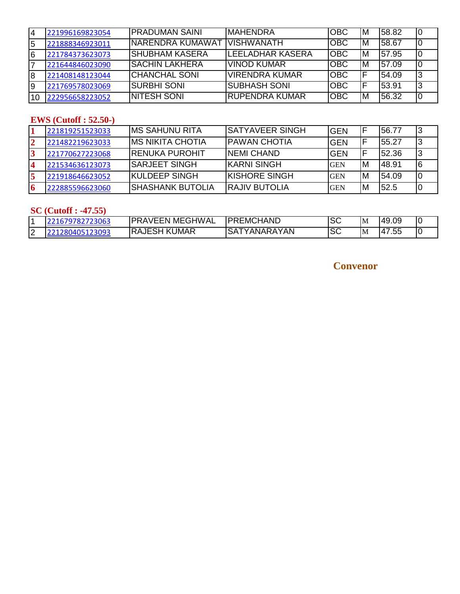| ۱4 | 221996169823054 | <b>PRADUMAN SAINI</b>         | <b>IMAHENDRA</b>        | <b>OBC</b>  | ΙM | 58.82  |  |
|----|-----------------|-------------------------------|-------------------------|-------------|----|--------|--|
| 5  | 221888346923011 | INARENDRA KUMAWAT IVISHWANATH |                         | <b>OBC</b>  | IМ | 158.67 |  |
| 16 | 221784373623073 | ISHUBHAM KASERA               | <b>LEELADHAR KASERA</b> | Іовс        | ΙM | 57.95  |  |
|    | 221644846023090 | ISACHIN LAKHERA               | <u>IVINOD KUMAR</u>     | OBC         | IM | 157.09 |  |
| 18 | 221408148123044 | <b> CHANCHAL SONI</b>         | IVIRENDRA KUMAR         | IOBC        |    | 54.09  |  |
| 19 | 221769578023069 | ISURBHI SONI                  | ISUBHASH SONI           | <b>IOBC</b> |    | 53.91  |  |
|    | 222956658223052 | <b>INITESH SONI</b>           | IRUPENDRA KUMAR         | OBC         | IΜ | 56.32  |  |

#### **EWS (Cutoff : 52.50-)**

|                  | 221819251523033 | IMS SAHUNU RITA       | ISATYAVEER SINGH      | IGEN       |    | 156.77 |  |
|------------------|-----------------|-----------------------|-----------------------|------------|----|--------|--|
| 2                | 221482219623033 | IMS NIKITA CHOTIA     | IPAWAN CHOTIA         | <b>GEN</b> |    | 155.27 |  |
|                  | 221770627223068 | IRENUKA PUROHIT       | <b>INEMI CHAND</b>    | <b>GEN</b> |    | 152.36 |  |
| $\boldsymbol{4}$ | 221534636123073 | ISARJEET SINGH        | IKARNI SINGH          | <b>GEN</b> | ΙM | 148.91 |  |
|                  | 221918646623052 | <b>IKULDEEP SINGH</b> | IKISHORE SINGH        | <b>GEN</b> | ΙM | 54.09  |  |
|                  | 222885596623060 | ISHASHANK BUTOLIA     | <b>IRAJIV BUTOLIA</b> | <b>GEN</b> | ΙM | 52.5   |  |

#### **SC (Cutoff : -47.55)**

| ╶            | ,,,,          | GHWAL<br>ME)<br>IDR<br>'′⊢⊢N .      | <b>HAND</b><br>∽<br>DR<br>'EMC.<br>TL.   | $\sim$<br>OЧ | <sup>I</sup> M | .40<br>49.09                |  |
|--------------|---------------|-------------------------------------|------------------------------------------|--------------|----------------|-----------------------------|--|
| $\sim$<br>⊢∠ | ാററാ<br>----- | <b>UMAR</b><br>K<br>IRAJE<br>╺<br>_ | `YAN<br>⌒<br>ANARA<br>$\mathbf{v}$<br>SА | $\sim$<br>эc | IM             | $ -$<br>ıд<br>$\sim$<br>.ں. |  |

### **Convenor**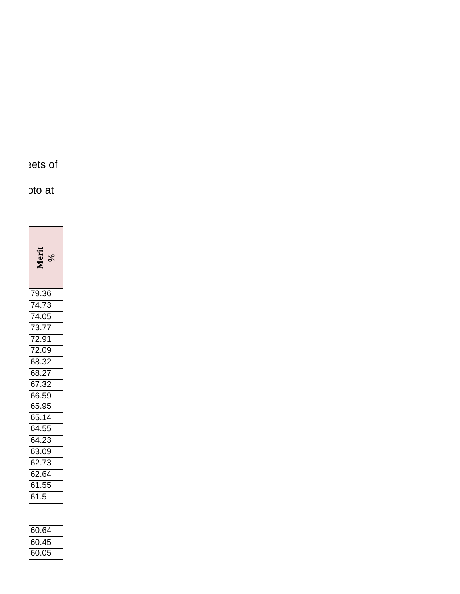ets of

oto at

**Merit %**79.36 74.73 74.05 73.77 72.91 72.09 68.32 68.27 67.32 66.59 65.95 65.14 64.55 64.23 63.09 62.73 62.64 61.55 61.5

| 60.64   |  |
|---------|--|
| 60.45   |  |
| O.<br>h |  |